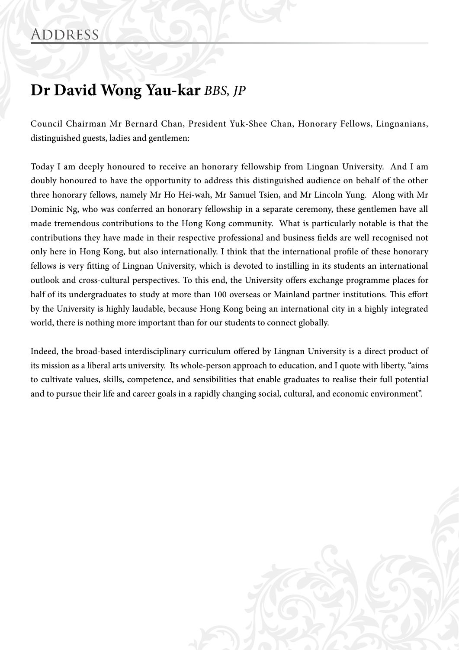## **Dr David Wong Yau-kar** *BBS, JP*

Council Chairman Mr Bernard Chan, President Yuk-Shee Chan, Honorary Fellows, Lingnanians, distinguished guests, ladies and gentlemen:

Today I am deeply honoured to receive an honorary fellowship from Lingnan University. And I am doubly honoured to have the opportunity to address this distinguished audience on behalf of the other three honorary fellows, namely Mr Ho Hei-wah, Mr Samuel Tsien, and Mr Lincoln Yung. Along with Mr Dominic Ng, who was conferred an honorary fellowship in a separate ceremony, these gentlemen have all made tremendous contributions to the Hong Kong community. What is particularly notable is that the contributions they have made in their respective professional and business fields are well recognised not only here in Hong Kong, but also internationally. I think that the international profile of these honorary fellows is very fitting of Lingnan University, which is devoted to instilling in its students an international outlook and cross-cultural perspectives. To this end, the University offers exchange programme places for half of its undergraduates to study at more than 100 overseas or Mainland partner institutions. This effort by the University is highly laudable, because Hong Kong being an international city in a highly integrated world, there is nothing more important than for our students to connect globally.

Indeed, the broad-based interdisciplinary curriculum offered by Lingnan University is a direct product of its mission as a liberal arts university. Its whole-person approach to education, and I quote with liberty, "aims to cultivate values, skills, competence, and sensibilities that enable graduates to realise their full potential and to pursue their life and career goals in a rapidly changing social, cultural, and economic environment".